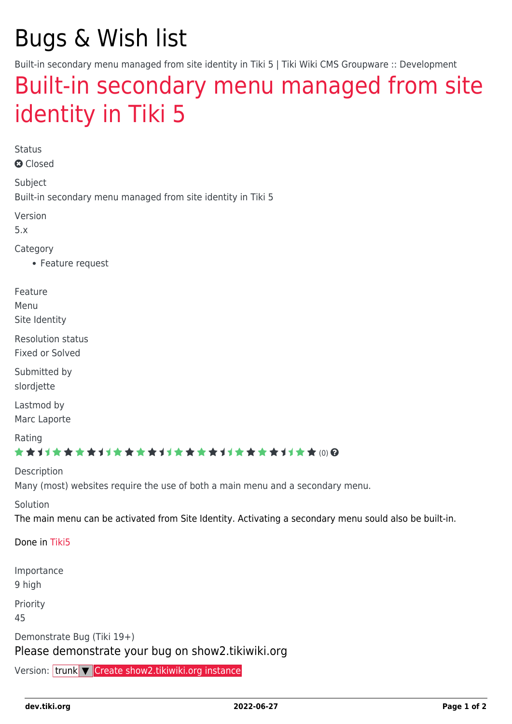# Bugs & Wish list

Built-in secondary menu managed from site identity in Tiki 5 | Tiki Wiki CMS Groupware :: Development

## [Built-in secondary menu managed from site](https://dev.tiki.org/item3002-Built-in-secondary-menu-managed-from-site-identity-in-Tiki-5) [identity in Tiki 5](https://dev.tiki.org/item3002-Built-in-secondary-menu-managed-from-site-identity-in-Tiki-5)

Status

**a** Closed

Subject

Built-in secondary menu managed from site identity in Tiki 5

Version

5.x

Category

Feature request

Feature

Menu

Site Identity

Resolution status

Fixed or Solved

Submitted by slordjette

Lastmod by

Marc Laporte

Rating

#### ★★11★★★★11★★★★11★★★★11★★★★11★★ (0) @

Description Many (most) websites require the use of both a main menu and a secondary menu.

Solution

The main menu can be activated from Site Identity. Activating a secondary menu sould also be built-in.

Done in [Tiki5](https://dev.tiki.org/Tiki5)

Importance 9 high Priority 45 Demonstrate Bug (Tiki 19+) Please demonstrate your bug on show2.tikiwiki.org Version: trunk ▼ [Create show2.tikiwiki.org instance](#page--1-0)